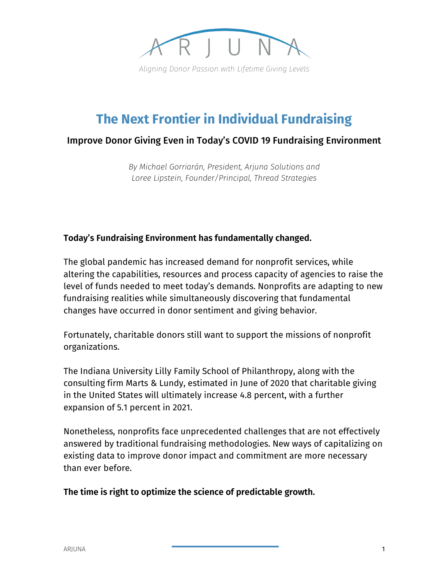

# **The Next Frontier in Individual Fundraising**

#### Improve Donor Giving Even in Today's COVID 19 Fundraising Environment

*By Michael Gorriarán, President, Arjuna Solutions and Loree Lipstein, Founder/Principal, Thread Strategies*

#### **Today's Fundraising Environment has fundamentally changed.**

The global pandemic has increased demand for nonprofit services, while altering the capabilities, resources and process capacity of agencies to raise the level of funds needed to meet today's demands. Nonprofits are adapting to new fundraising realities while simultaneously discovering that fundamental changes have occurred in donor sentiment and giving behavior.

Fortunately, charitable donors still want to support the missions of nonprofit organizations.

The Indiana University Lilly Family School of Philanthropy, along with the consulting firm Marts & Lundy, estimated in June of 2020 that charitable giving in the United States will ultimately increase 4.8 percent, with a further expansion of 5.1 percent in 2021.

Nonetheless, nonprofits face unprecedented challenges that are not effectively answered by traditional fundraising methodologies. New ways of capitalizing on existing data to improve donor impact and commitment are more necessary than ever before.

**The time is right to optimize the science of predictable growth.**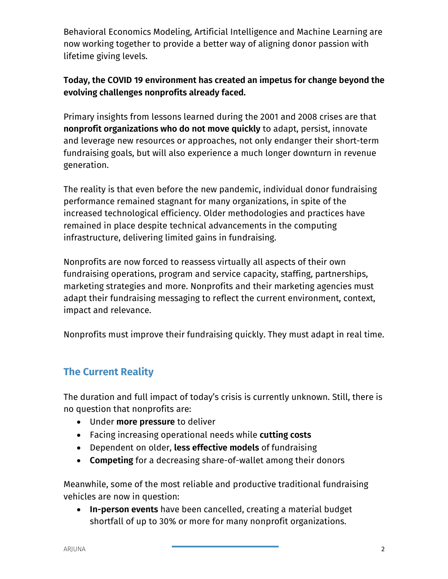Behavioral Economics Modeling, Artificial Intelligence and Machine Learning are now working together to provide a better way of aligning donor passion with lifetime giving levels.

## **Today, the COVID 19 environment has created an impetus for change beyond the evolving challenges nonprofits already faced.**

Primary insights from lessons learned during the 2001 and 2008 crises are that **nonprofit organizations who do not move quickly** to adapt, persist, innovate and leverage new resources or approaches, not only endanger their short-term fundraising goals, but will also experience a much longer downturn in revenue generation.

The reality is that even before the new pandemic, individual donor fundraising performance remained stagnant for many organizations, in spite of the increased technological efficiency. Older methodologies and practices have remained in place despite technical advancements in the computing infrastructure, delivering limited gains in fundraising.

Nonprofits are now forced to reassess virtually all aspects of their own fundraising operations, program and service capacity, staffing, partnerships, marketing strategies and more. Nonprofits and their marketing agencies must adapt their fundraising messaging to reflect the current environment, context, impact and relevance.

Nonprofits must improve their fundraising quickly. They must adapt in real time.

## **The Current Reality**

The duration and full impact of today's crisis is currently unknown. Still, there is no question that nonprofits are:

- Under **more pressure** to deliver
- Facing increasing operational needs while **cutting costs**
- Dependent on older, **less effective models** of fundraising
- **Competing** for a decreasing share-of-wallet among their donors

Meanwhile, some of the most reliable and productive traditional fundraising vehicles are now in question:

• **In-person events** have been cancelled, creating a material budget shortfall of up to 30% or more for many nonprofit organizations.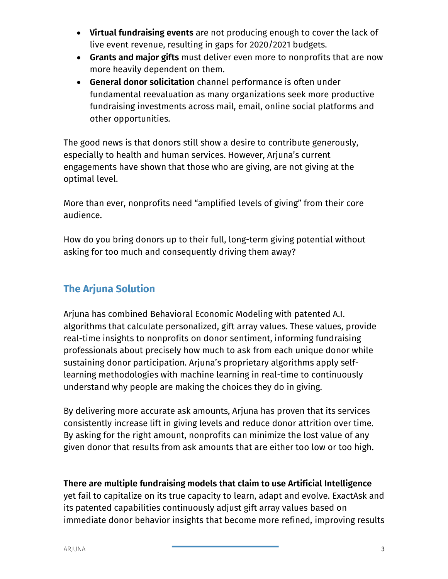- **Virtual fundraising events** are not producing enough to cover the lack of live event revenue, resulting in gaps for 2020/2021 budgets.
- **Grants and major gifts** must deliver even more to nonprofits that are now more heavily dependent on them.
- **General donor solicitation** channel performance is often under fundamental reevaluation as many organizations seek more productive fundraising investments across mail, email, online social platforms and other opportunities.

The good news is that donors still show a desire to contribute generously, especially to health and human services. However, Arjuna's current engagements have shown that those who are giving, are not giving at the optimal level.

More than ever, nonprofits need "amplified levels of giving" from their core audience.

How do you bring donors up to their full, long-term giving potential without asking for too much and consequently driving them away?

## **The Arjuna Solution**

Arjuna has combined Behavioral Economic Modeling with patented A.I. algorithms that calculate personalized, gift array values. These values, provide real-time insights to nonprofits on donor sentiment, informing fundraising professionals about precisely how much to ask from each unique donor while sustaining donor participation. Arjuna's proprietary algorithms apply selflearning methodologies with machine learning in real-time to continuously understand why people are making the choices they do in giving.

By delivering more accurate ask amounts, Arjuna has proven that its services consistently increase lift in giving levels and reduce donor attrition over time. By asking for the right amount, nonprofits can minimize the lost value of any given donor that results from ask amounts that are either too low or too high.

**There are multiple fundraising models that claim to use Artificial Intelligence** yet fail to capitalize on its true capacity to learn, adapt and evolve. ExactAsk and its patented capabilities continuously adjust gift array values based on immediate donor behavior insights that become more refined, improving results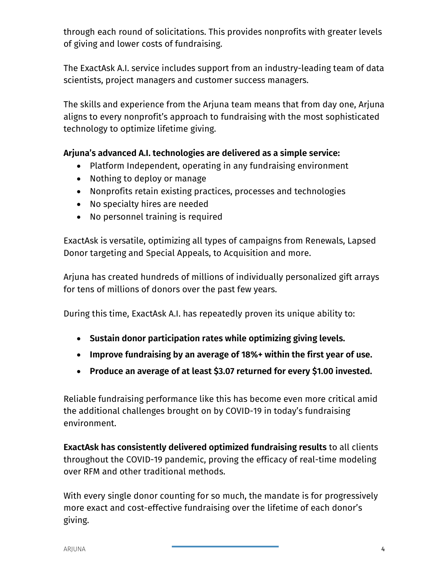through each round of solicitations. This provides nonprofits with greater levels of giving and lower costs of fundraising.

The ExactAsk A.I. service includes support from an industry-leading team of data scientists, project managers and customer success managers.

The skills and experience from the Arjuna team means that from day one, Arjuna aligns to every nonprofit's approach to fundraising with the most sophisticated technology to optimize lifetime giving.

## **Arjuna's advanced A.I. technologies are delivered as a simple service:**

- Platform Independent, operating in any fundraising environment
- Nothing to deploy or manage
- Nonprofits retain existing practices, processes and technologies
- No specialty hires are needed
- No personnel training is required

ExactAsk is versatile, optimizing all types of campaigns from Renewals, Lapsed Donor targeting and Special Appeals, to Acquisition and more.

Arjuna has created hundreds of millions of individually personalized gift arrays for tens of millions of donors over the past few years.

During this time, ExactAsk A.I. has repeatedly proven its unique ability to:

- **Sustain donor participation rates while optimizing giving levels.**
- **Improve fundraising by an average of 18%+ within the first year of use.**
- **Produce an average of at least \$3.07 returned for every \$1.00 invested.**

Reliable fundraising performance like this has become even more critical amid the additional challenges brought on by COVID-19 in today's fundraising environment.

**ExactAsk has consistently delivered optimized fundraising results** to all clients throughout the COVID-19 pandemic, proving the efficacy of real-time modeling over RFM and other traditional methods.

With every single donor counting for so much, the mandate is for progressively more exact and cost-effective fundraising over the lifetime of each donor's giving.